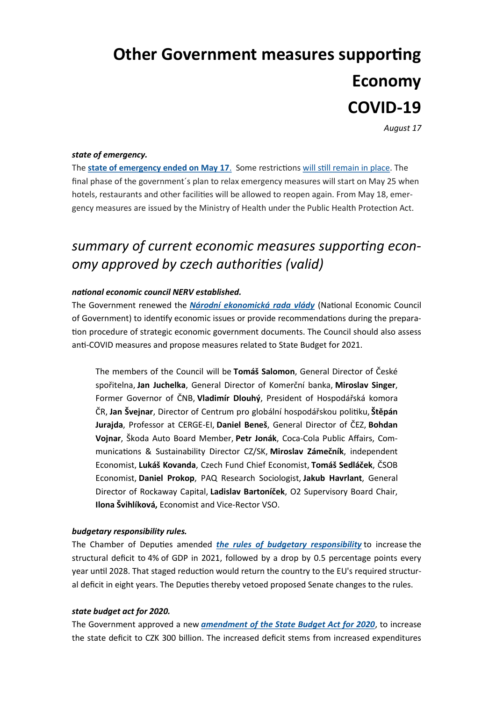# **Other Government measures supporting Economy COVID-19**

*August 17*

# *state of emergency.*

The **[state of emergency ended on May 17](https://apps.odok.cz/attachment/-/down/RCIABNHNCN22)**. Some restrictions [will still remain in place.](http://www.amcham.cz/news/government-restrictions-of-activities-inside-the-czech-republic) The final phase of the government´s plan to relax emergency measures will start on May 25 when hotels, restaurants and other facilities will be allowed to reopen again. From May 18, emergency measures are issued by the Ministry of Health under the Public Health Protection Act.

# *summary of current economic measures supporting economy approved by czech authorities (valid)*

#### *national economic council NERV established.*

The Government renewed the *[Národní ekonomická rada vlády](https://apps.odok.cz/attachment/-/down/RCIABNHNDZR9)* (National Economic Council of Government) to identify economic issues or provide recommendations during the preparation procedure of strategic economic government documents. The Council should also assess anti-COVID measures and propose measures related to State Budget for 2021.

The members of the Council will be **Tomáš Salomon**, General Director of České spořitelna, **Jan Juchelka**, General Director of Komerční banka, **Miroslav Singer**, Former Governor of ČNB, **Vladimír Dlouhý**, President of Hospodářská komora ČR, **Jan Švejnar**, Director of Centrum pro globální hospodářskou politiku, **Štěpán Jurajda**, Professor at CERGE-EI, **Daniel Beneš**, General Director of ČEZ, **Bohdan Vojnar**, Škoda Auto Board Member, **Petr Jonák**, Coca-Cola Public Affairs, Communications & Sustainability Director CZ/SK, **Miroslav Zámečník**, independent Economist, **Lukáš Kovanda**, Czech Fund Chief Economist, **Tomáš Sedláček**, ČSOB Economist, **Daniel Prokop**, PAQ Research Sociologist, **Jakub Havrlant**, General Director of Rockaway Capital, **Ladislav Bartoníček**, O2 Supervisory Board Chair, **Ilona Švihlíková,** Economist and Vice-Rector VSO.

#### *budgetary responsibility rules.*

The Chamber of Deputies amended *[the rules of budgetary responsibility](https://www.mfcr.cz/cs/aktualne/tiskove-zpravy/2020/novela-pravidel-rozpoctove-odpovednosti-38079)* to increase the structural deficit to 4% of GDP in 2021, followed by a drop by 0.5 percentage points every year until 2028. That staged reduction would return the country to the EU's required structural deficit in eight years. The Deputies thereby vetoed proposed Senate changes to the rules.

#### *state budget act for 2020.*

The Government approved a new *[amendment of the State Budget Act for 2020](https://www.mfcr.cz/cs/aktualne/tiskove-zpravy/2020/vlada-schvalila-aktualizovanou-novelu-st-38245)*, to increase the state deficit to CZK 300 billion. The increased deficit stems from increased expenditures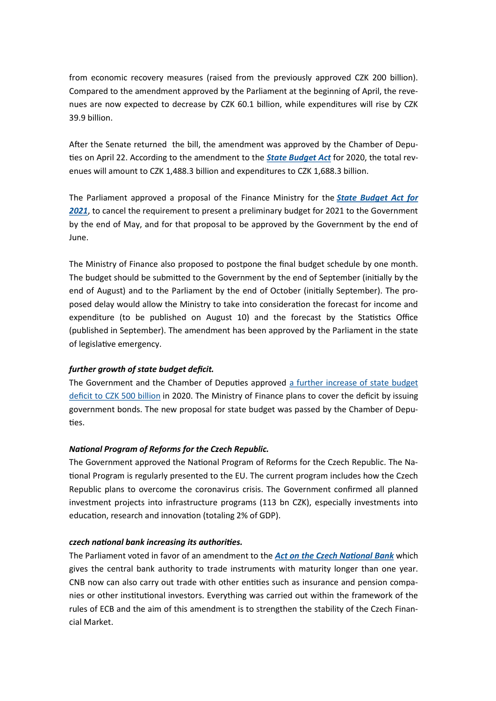from economic recovery measures (raised from the previously approved CZK 200 billion). Compared to the amendment approved by the Parliament at the beginning of April, the revenues are now expected to decrease by CZK 60.1 billion, while expenditures will rise by CZK 39.9 billion.

After the Senate returned the bill, the amendment was approved by the Chamber of Deputies on April 22. According to the amendment to the *[State Budget Act](https://www.mfcr.cz/cs/aktualne/tiskove-zpravy/2020/vlada-schvalila-novelu-zakona-o-statnim-37959)* for 2020, the total revenues will amount to CZK 1,488.3 billion and expenditures to CZK 1,688.3 billion.

The Parliament approved a proposal of the Finance Ministry for the *[State Budget Act for](https://www.mfcr.cz/cs/aktualne/tiskove-zpravy/2020/rozpoctovy-proces-bude-pruzneji-reagovat-38438)  [2021](https://www.mfcr.cz/cs/aktualne/tiskove-zpravy/2020/rozpoctovy-proces-bude-pruzneji-reagovat-38438)*, to cancel the requirement to present a preliminary budget for 2021 to the Government by the end of May, and for that proposal to be approved by the Government by the end of June.

The Ministry of Finance also proposed to postpone the final budget schedule by one month. The budget should be submitted to the Government by the end of September (initially by the end of August) and to the Parliament by the end of October (initially September). The proposed delay would allow the Ministry to take into consideration the forecast for income and expenditure (to be published on August 10) and the forecast by the Statistics Office (published in September). The amendment has been approved by the Parliament in the state of legislative emergency.

# *further growth of state budget deficit.*

The Government and the Chamber of Deputies approved [a further increase of state budget](https://www.mfcr.cz/cs/aktualne/tiskove-zpravy/2020/vlada-schvalila-novelu-zakona-o-statnim-38661)  [deficit to CZK 500 billion](https://www.mfcr.cz/cs/aktualne/tiskove-zpravy/2020/vlada-schvalila-novelu-zakona-o-statnim-38661) in 2020. The Ministry of Finance plans to cover the deficit by issuing government bonds. The new proposal for state budget was passed by the Chamber of Deputies.

# *National Program of Reforms for the Czech Republic.*

The Government approved the National Program of Reforms for the Czech Republic. The National Program is regularly presented to the EU. The current program includes how the Czech Republic plans to overcome the coronavirus crisis. The Government confirmed all planned investment projects into infrastructure programs (113 bn CZK), especially investments into education, research and innovation (totaling 2% of GDP).

# *czech national bank increasing its authorities.*

The Parliament voted in favor of an amendment to the *[Act on the Czech National Bank](https://www.senat.cz/xqw/webdav/pssenat/original/94476/79241)* which gives the central bank authority to trade instruments with maturity longer than one year. CNB now can also carry out trade with other entities such as insurance and pension companies or other institutional investors. Everything was carried out within the framework of the rules of ECB and the aim of this amendment is to strengthen the stability of the Czech Financial Market.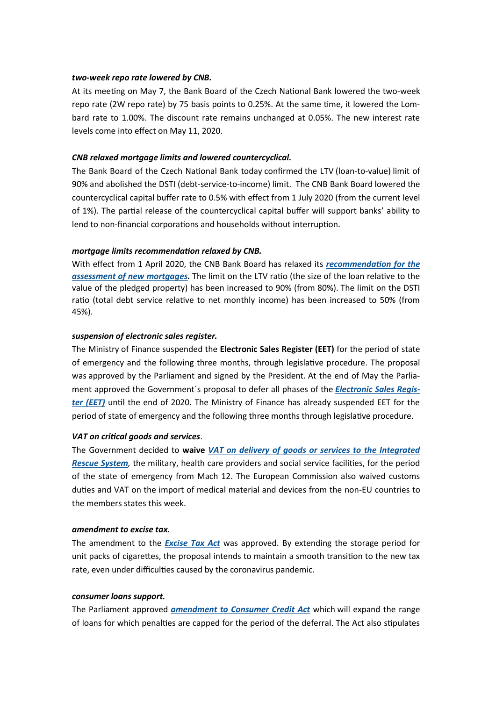#### *two-week repo rate lowered by CNB.*

At its meeting on May 7, the Bank Board of the Czech National Bank lowered the two-week repo rate (2W repo rate) by 75 basis points to 0.25%. At the same time, it lowered the Lombard rate to 1.00%. The discount rate remains unchanged at 0.05%. The new interest rate levels come into effect on May 11, 2020.

### *CNB relaxed mortgage limits and lowered countercyclical.*

The Bank Board of the Czech National Bank today confirmed the LTV (loan-to-value) limit of 90% and abolished the DSTI (debt-service-to-income) limit. The CNB Bank Board lowered the countercyclical capital buffer rate to 0.5% with effect from 1 July 2020 (from the current level of 1%). The partial release of the countercyclical capital buffer will support banks' ability to lend to non-financial corporations and households without interruption.

#### *mortgage limits recommendation relaxed by CNB.*

With effect from 1 April 2020, the CNB Bank Board has relaxed its *[recommendation for the](https://www.cnb.cz/en/cnb-news/press-releases/CNB-relaxes-credit-ratio-limits-for-new-mortgages/)  [assessment of new mortgages.](https://www.cnb.cz/en/cnb-news/press-releases/CNB-relaxes-credit-ratio-limits-for-new-mortgages/)* The limit on the LTV ratio (the size of the loan relative to the value of the pledged property) has been increased to 90% (from 80%). The limit on the DSTI ratio (total debt service relative to net monthly income) has been increased to 50% (from 45%).

#### *suspension of electronic sales register.*

The Ministry of Finance suspended the **[Electronic Sales Register \(EET\)](https://www.psp.cz/sqw/historie.sqw?o=8&t=788)** for the period of state of emergency and the following three months, through legislative procedure. The proposal was approved by the Parliament and signed by the President. At the end of May the Parliament approved the Government´s proposal to defer all phases of the *[Electronic Sales Regis](https://www.mfcr.cz/cs/aktualne/tiskove-zpravy/2020/podnikatele-nebudou-evidovat-trzby-do-ko-38404)[ter \(EET\)](https://www.mfcr.cz/cs/aktualne/tiskove-zpravy/2020/podnikatele-nebudou-evidovat-trzby-do-ko-38404)* until the end of 2020. The Ministry of Finance has already suspended EET for the period of state of emergency and the following three months through legislative procedure.

#### *VAT on critical goods and services*.

The Government decided to **waive** *[VAT on delivery of goods or services to the Integrated](https://apps.odok.cz/attachment/-/down/RCIABNHNCN22)  [Rescue System](https://apps.odok.cz/attachment/-/down/RCIABNHNCN22),* the military, health care providers and social service facilities, for the period of the state of emergency from Mach 12. The European Commission also waived customs duties and VAT on the import of medical material and devices from the non-EU countries to the members states this week.

#### *amendment to excise tax.*

The amendment to the *[Excise Tax Act](https://apps.odok.cz/attachment/-/down/RCIABNHNE3D4)* was approved. By extending the storage period for unit packs of cigarettes, the proposal intends to maintain a smooth transition to the new tax rate, even under difficulties caused by the coronavirus pandemic.

#### *consumer loans support.*

The Parliament approved *[amendment to Consumer Credit Act](https://www.senat.cz/xqw/webdav/pssenat/original/94483/79248)* which will expand the range of loans for which penalties are capped for the period of the deferral. The Act also stipulates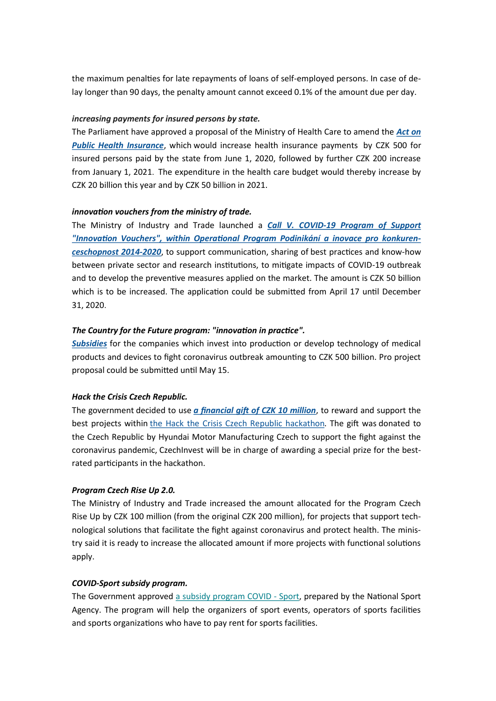the maximum penalties for late repayments of loans of self-employed persons. In case of delay longer than 90 days, the penalty amount cannot exceed 0.1% of the amount due per day.

#### *increasing payments for insured persons by state.*

The Parliament have approved a proposal of the Ministry of Health Care to amend the *[Act on](https://www.psp.cz/sqw/text/orig2.sqw?idd=173084)  [Public Health Insurance](https://www.psp.cz/sqw/text/orig2.sqw?idd=173084)*, which would increase health insurance payments by CZK 500 for insured persons paid by the state from June 1, 2020, followed by further CZK 200 increase from January 1, 2021. The expenditure in the health care budget would thereby increase by CZK 20 billion this year and by CZK 50 billion in 2021.

#### *innovation vouchers from the ministry of trade.*

The Ministry of Industry and Trade launched a *Call V. COVID-[19 Program of Support](https://www.mpo.cz/cz/podnikani/dotace-a-podpora-podnikani/oppik-2014-2020/vyzvy-op-pik-2020/vyzva-v--covid-19-programu-podpory-inovacni-vouchery--254025/)  ["Innovation Vouchers", within Operational Program Podinikání a inovace pro konkuren](https://www.mpo.cz/cz/podnikani/dotace-a-podpora-podnikani/oppik-2014-2020/vyzvy-op-pik-2020/vyzva-v--covid-19-programu-podpory-inovacni-vouchery--254025/)[ceschopnost 2014](https://www.mpo.cz/cz/podnikani/dotace-a-podpora-podnikani/oppik-2014-2020/vyzvy-op-pik-2020/vyzva-v--covid-19-programu-podpory-inovacni-vouchery--254025/)-2020*, to support communication, sharing of best practices and know-how between private sector and research institutions, to mitigate impacts of COVID-19 outbreak and to develop the preventive measures applied on the market. The amount is CZK 50 billion which is to be increased. The application could be submitted from April 17 until December 31, 2020.

#### *The Country for the Future program: "innovation in practice".*

*[Subsidies](https://www.mpo.cz/cz/rozcestnik/pro-media/tiskove-zpravy/mpo-podpori-inovativni-firmy--ktere-bojuji-s-pandemii-koronaviru---253816/)* for the companies which invest into production or develop technology of medical products and devices to fight coronavirus outbreak amounting to CZK 500 billion. Pro project proposal could be submitted until May 15.

#### *Hack the Crisis Czech Republic.*

The government decided to use *[a financial gift of CZK 10 million](https://apps.odok.cz/attachment/-/down/RCIABPDLR48M)*, to reward and support the best projects within [the Hack the Crisis Czech Republic hackathon.](https://www.hackthecrisis.cz/) The gift was donated to the Czech Republic by Hyundai Motor Manufacturing Czech to support the fight against the coronavirus pandemic, CzechInvest will be in charge of awarding a special prize for the bestrated participants in the hackathon.

#### *Program Czech Rise Up 2.0.*

The Ministry of Industry and Trade increased the amount allocated for the Program Czech Rise Up by CZK 100 million (from the original CZK 200 million), for projects that support technological solutions that facilitate the fight against coronavirus and protect health. The ministry said it is ready to increase the allocated amount if more projects with functional solutions apply.

#### *COVID-Sport subsidy program.*

The Government approved [a subsidy program COVID](https://www.agenturasport.cz/dotacni-program-podpory-sportovnich-organizaci-postizenych-celosvetovou-pandemii-covid-19-covid-sport/) - Sport, prepared by the National Sport Agency. The program will help the organizers of sport events, operators of sports facilities and sports organizations who have to pay rent for sports facilities.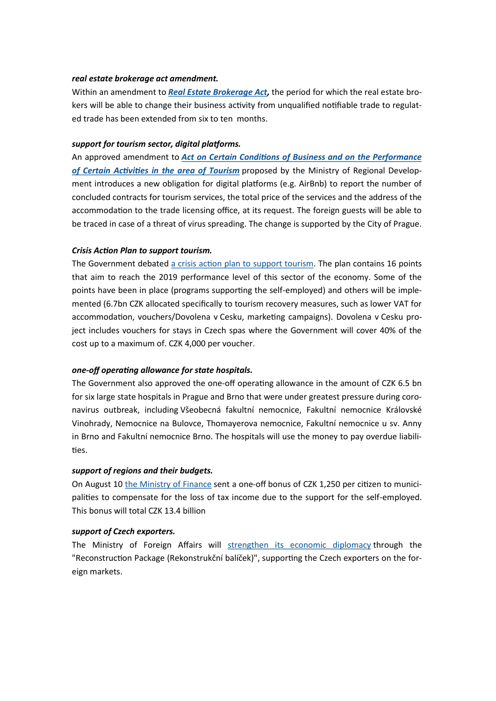### *real estate brokerage act amendment.*

Within an amendment to *[Real Estate Brokerage Act,](https://www.senat.cz/xqw/webdav/pssenat/original/94478/79243)* the period for which the real estate brokers will be able to change their business activity from unqualified notifiable trade to regulated trade has been extended from six to ten months.

# *support for tourism sector, digital platforms.*

An approved amendment to *[Act on Certain Conditions of Business and on the Performance](https://mmr.cz/cs/ostatni/web/novinky/dostalova-pred-uvolnenim-opatreni-musime-mit-preh)  [of Certain Activities in the area of Tourism](https://mmr.cz/cs/ostatni/web/novinky/dostalova-pred-uvolnenim-opatreni-musime-mit-preh)* proposed by the Ministry of Regional Development introduces a new obligation for digital platforms (e.g. AirBnb) to report the number of concluded contracts for tourism services, the total price of the services and the address of the accommodation to the trade licensing office, at its request. The foreign guests will be able to be traced in case of a threat of virus spreading. The change is supported by the City of Prague.

#### *Crisis Action Plan to support tourism.*

The Government debated [a crisis action plan to support tourism.](https://www.mmr.cz/cs/ostatni/web/novinky/klara-dostalova-predstavila-krizovy-akcni-plan-ces) The plan contains 16 points that aim to reach the 2019 performance level of this sector of the economy. Some of the points have been in place (programs supporting the self-employed) and others will be implemented (6.7bn CZK allocated specifically to tourism recovery measures, such as lower VAT for accommodation, vouchers/Dovolena v Cesku, marketing campaigns). Dovolena v Cesku project includes vouchers for stays in Czech spas where the Government will cover 40% of the cost up to a maximum of. CZK 4,000 per voucher.

# *one-off operating allowance for state hospitals.*

The Government also approved the one-off operating allowance in the amount of CZK 6.5 bn for six large state hospitals in Prague and Brno that were under greatest pressure during coronavirus outbreak, including Všeobecná fakultní nemocnice, Fakultní nemocnice Královské Vinohrady, Nemocnice na Bulovce, Thomayerova nemocnice, Fakultní nemocnice u sv. Anny in Brno and Fakultní nemocnice Brno. The hospitals will use the money to pay overdue liabilities.

#### *support of regions and their budgets.*

On August 10 [the Ministry of Finance](https://www.mfcr.cz/cs/aktualne/tiskove-zpravy/2020/mf-vyplati-prispevky-obcim-celkem-obdrzi-39184) sent a one-off bonus of CZK 1,250 per citizen to municipalities to compensate for the loss of tax income due to the support for the self-employed. This bonus will total CZK 13.4 billion

#### *support of Czech exporters.*

The Ministry of Foreign Affairs will [strengthen its economic diplomacy](https://www.mzv.cz/jnp/cz/udalosti_a_media/tiskove_zpravy/x2020_06_08_vlada_schvalila_rekonstrukcni_balicek.html) through the "Reconstruction Package (Rekonstrukční balíček)", supporting the Czech exporters on the foreign markets.